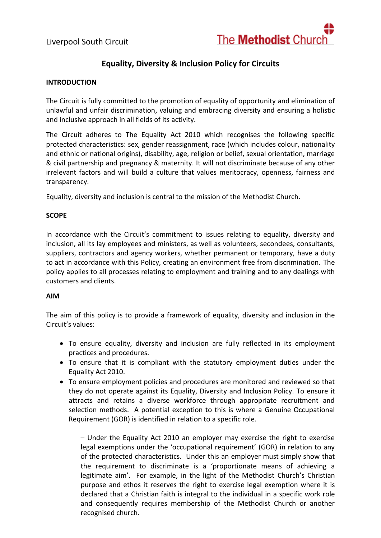Liverpool South Circuit



# **Equality, Diversity & Inclusion Policy for Circuits**

#### **INTRODUCTION**

The Circuit is fully committed to the promotion of equality of opportunity and elimination of unlawful and unfair discrimination, valuing and embracing diversity and ensuring a holistic and inclusive approach in all fields of its activity.

The Circuit adheres to The Equality Act 2010 which recognises the following specific protected characteristics: sex, gender reassignment, race (which includes colour, nationality and ethnic or national origins), disability, age, religion or belief, sexual orientation, marriage & civil partnership and pregnancy & maternity. It will not discriminate because of any other irrelevant factors and will build a culture that values meritocracy, openness, fairness and transparency.

Equality, diversity and inclusion is central to the mission of the Methodist Church.

#### **SCOPE**

In accordance with the Circuit's commitment to issues relating to equality, diversity and inclusion, all its lay employees and ministers, as well as volunteers, secondees, consultants, suppliers, contractors and agency workers, whether permanent or temporary, have a duty to act in accordance with this Policy, creating an environment free from discrimination. The policy applies to all processes relating to employment and training and to any dealings with customers and clients.

#### **AIM**

The aim of this policy is to provide a framework of equality, diversity and inclusion in the Circuit's values:

- To ensure equality, diversity and inclusion are fully reflected in its employment practices and procedures.
- To ensure that it is compliant with the statutory employment duties under the Equality Act 2010.
- To ensure employment policies and procedures are monitored and reviewed so that they do not operate against its Equality, Diversity and Inclusion Policy. To ensure it attracts and retains a diverse workforce through appropriate recruitment and selection methods. A potential exception to this is where a Genuine Occupational Requirement (GOR) is identified in relation to a specific role.

– Under the Equality Act 2010 an employer may exercise the right to exercise legal exemptions under the 'occupational requirement' (GOR) in relation to any of the protected characteristics. Under this an employer must simply show that the requirement to discriminate is a 'proportionate means of achieving a legitimate aim'. For example, in the light of the Methodist Church's Christian purpose and ethos it reserves the right to exercise legal exemption where it is declared that a Christian faith is integral to the individual in a specific work role and consequently requires membership of the Methodist Church or another recognised church.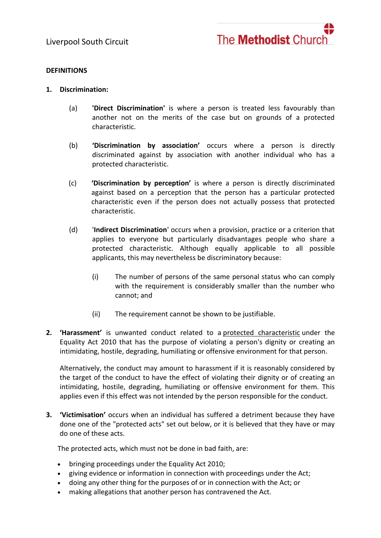

#### **DEFINITIONS**

- **1. Discrimination:**
	- (a) **'Direct Discrimination'** is where a person is treated less favourably than another not on the merits of the case but on grounds of a protected characteristic*.*
	- (b) **'Discrimination by association'** occurs where a person is directly discriminated against by association with another individual who has a protected characteristic.
	- (c) **'Discrimination by perception'** is where a person is directly discriminated against based on a perception that the person has a particular protected characteristic even if the person does not actually possess that protected characteristic.
	- (d) '**Indirect Discrimination**' occurs when a provision, practice or a criterion that applies to everyone but particularly disadvantages people who share a protected characteristic. Although equally applicable to all possible applicants, this may nevertheless be discriminatory because:
		- (i) The number of persons of the same personal status who can comply with the requirement is considerably smaller than the number who cannot; and
		- (ii) The requirement cannot be shown to be justifiable.
- **2. 'Harassment'** is unwanted conduct related to a [protected characteristic](https://www.xperthr.co.uk/glossary/protected-characteristic/150052/) under the Equality Act 2010 that has the purpose of violating a person's dignity or creating an intimidating, hostile, degrading, humiliating or offensive environment for that person.

Alternatively, the conduct may amount to harassment if it is reasonably considered by the target of the conduct to have the effect of violating their dignity or of creating an intimidating, hostile, degrading, humiliating or offensive environment for them. This applies even if this effect was not intended by the person responsible for the conduct.

**3. 'Victimisation'** occurs when an individual has suffered a detriment because they have done one of the "protected acts" set out below, or it is believed that they have or may do one of these acts.

The protected acts, which must not be done in bad faith, are:

- bringing proceedings under the Equality Act 2010;
- giving evidence or information in connection with proceedings under the Act;
- doing any other thing for the purposes of or in connection with the Act; or
- making allegations that another person has contravened the Act.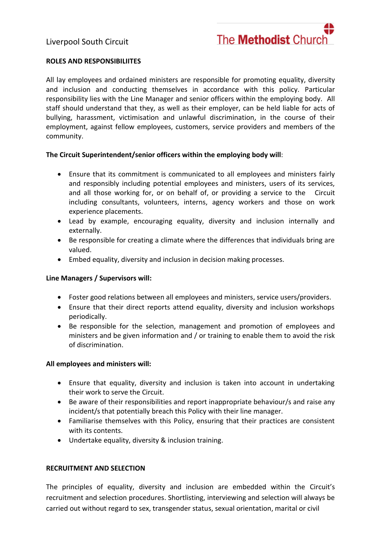

### **ROLES AND RESPONSIBILIITES**

All lay employees and ordained ministers are responsible for promoting equality, diversity and inclusion and conducting themselves in accordance with this policy. Particular responsibility lies with the Line Manager and senior officers within the employing body. All staff should understand that they, as well as their employer, can be held liable for acts of bullying, harassment, victimisation and unlawful discrimination, in the course of their employment, against fellow employees, customers, service providers and members of the community.

#### **The Circuit Superintendent/senior officers within the employing body will**:

- Ensure that its commitment is communicated to all employees and ministers fairly and responsibly including potential employees and ministers, users of its services, and all those working for, or on behalf of, or providing a service to the Circuit including consultants, volunteers, interns, agency workers and those on work experience placements.
- Lead by example, encouraging equality, diversity and inclusion internally and externally.
- Be responsible for creating a climate where the differences that individuals bring are valued.
- Embed equality, diversity and inclusion in decision making processes.

#### **Line Managers / Supervisors will:**

- Foster good relations between all employees and ministers, service users/providers.
- Ensure that their direct reports attend equality, diversity and inclusion workshops periodically.
- Be responsible for the selection, management and promotion of employees and ministers and be given information and / or training to enable them to avoid the risk of discrimination.

#### **All employees and ministers will:**

- Ensure that equality, diversity and inclusion is taken into account in undertaking their work to serve the Circuit.
- Be aware of their responsibilities and report inappropriate behaviour/s and raise any incident/s that potentially breach this Policy with their line manager.
- Familiarise themselves with this Policy, ensuring that their practices are consistent with its contents.
- Undertake equality, diversity & inclusion training.

#### **RECRUITMENT AND SELECTION**

The principles of equality, diversity and inclusion are embedded within the Circuit's recruitment and selection procedures. Shortlisting, interviewing and selection will always be carried out without regard to sex, transgender status, sexual orientation, marital or civil